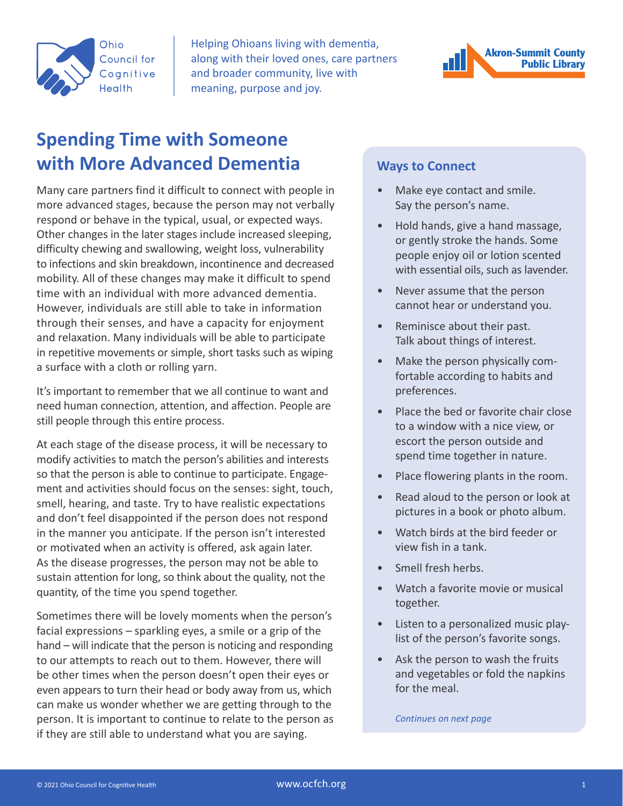

Helping Ohioans living with dementia, along with their loved ones, care partners and broader community, live with meaning, purpose and joy.

# **Spending Time with Someone with More Advanced Dementia**

Many care partners find it difficult to connect with people in more advanced stages, because the person may not verbally respond or behave in the typical, usual, or expected ways. Other changes in the later stages include increased sleeping, difficulty chewing and swallowing, weight loss, vulnerability to infections and skin breakdown, incontinence and decreased mobility. All of these changes may make it difficult to spend time with an individual with more advanced dementia. However, individuals are still able to take in information through their senses, and have a capacity for enjoyment and relaxation. Many individuals will be able to participate in repetitive movements or simple, short tasks such as wiping a surface with a cloth or rolling yarn.

It's important to remember that we all continue to want and need human connection, attention, and affection. People are still people through this entire process.

At each stage of the disease process, it will be necessary to modify activities to match the person's abilities and interests so that the person is able to continue to participate. Engagement and activities should focus on the senses: sight, touch, smell, hearing, and taste. Try to have realistic expectations and don't feel disappointed if the person does not respond in the manner you anticipate. If the person isn't interested or motivated when an activity is offered, ask again later. As the disease progresses, the person may not be able to sustain attention for long, so think about the quality, not the quantity, of the time you spend together.

Sometimes there will be lovely moments when the person's facial expressions – sparkling eyes, a smile or a grip of the hand – will indicate that the person is noticing and responding to our attempts to reach out to them. However, there will be other times when the person doesn't open their eyes or even appears to turn their head or body away from us, which can make us wonder whether we are getting through to the person. It is important to continue to relate to the person as if they are still able to understand what you are saying.



#### **Ways to Connect**

- Make eye contact and smile. Say the person's name.
- Hold hands, give a hand massage, or gently stroke the hands. Some people enjoy oil or lotion scented with essential oils, such as lavender.
- Never assume that the person cannot hear or understand you.
- Reminisce about their past. Talk about things of interest.
- Make the person physically comfortable according to habits and preferences.
- Place the bed or favorite chair close to a window with a nice view, or escort the person outside and spend time together in nature.
- Place flowering plants in the room.
- Read aloud to the person or look at pictures in a book or photo album.
- Watch birds at the bird feeder or view fish in a tank.
- Smell fresh herbs.
- Watch a favorite movie or musical together.
- Listen to a personalized music playlist of the person's favorite songs.
- Ask the person to wash the fruits and vegetables or fold the napkins for the meal.

*Continues on next page*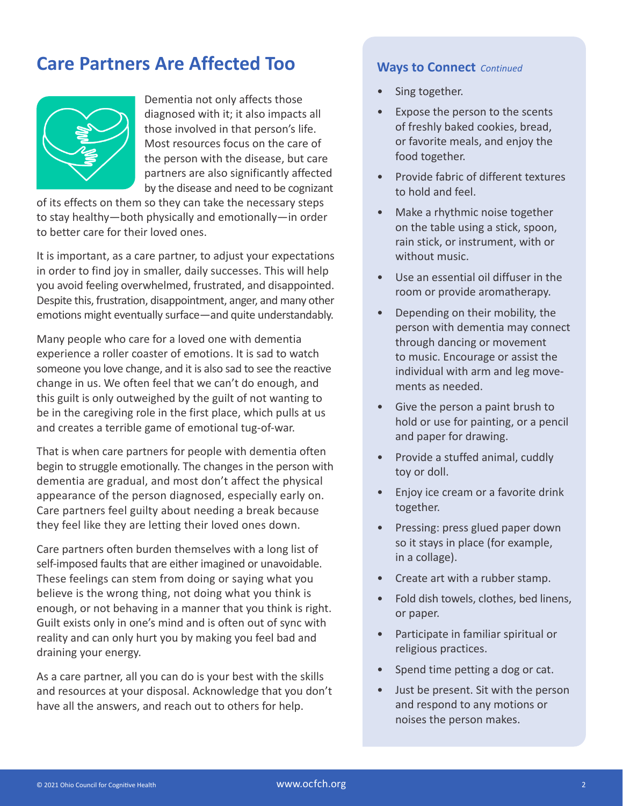## **Care Partners Are Affected Too**



Dementia not only affects those diagnosed with it; it also impacts all those involved in that person's life. Most resources focus on the care of the person with the disease, but care partners are also significantly affected by the disease and need to be cognizant

of its effects on them so they can take the necessary steps to stay healthy—both physically and emotionally—in order to better care for their loved ones.

It is important, as a care partner, to adjust your expectations in order to find joy in smaller, daily successes. This will help you avoid feeling overwhelmed, frustrated, and disappointed. Despite this, frustration, disappointment, anger, and many other emotions might eventually surface—and quite understandably.

Many people who care for a loved one with dementia experience a roller coaster of emotions. It is sad to watch someone you love change, and it is also sad to see the reactive change in us. We often feel that we can't do enough, and this guilt is only outweighed by the guilt of not wanting to be in the caregiving role in the first place, which pulls at us and creates a terrible game of emotional tug-of-war.

That is when care partners for people with dementia often begin to struggle emotionally. The changes in the person with dementia are gradual, and most don't affect the physical appearance of the person diagnosed, especially early on. Care partners feel guilty about needing a break because they feel like they are letting their loved ones down.

Care partners often burden themselves with a long list of self-imposed faults that are either imagined or unavoidable. These feelings can stem from doing or saying what you believe is the wrong thing, not doing what you think is enough, or not behaving in a manner that you think is right. Guilt exists only in one's mind and is often out of sync with reality and can only hurt you by making you feel bad and draining your energy.

As a care partner, all you can do is your best with the skills and resources at your disposal. Acknowledge that you don't have all the answers, and reach out to others for help.

#### **Ways to Connect** *Continued*

- Sing together.
- Expose the person to the scents of freshly baked cookies, bread, or favorite meals, and enjoy the food together.
- Provide fabric of different textures to hold and feel.
- Make a rhythmic noise together on the table using a stick, spoon, rain stick, or instrument, with or without music.
- Use an essential oil diffuser in the room or provide aromatherapy.
- Depending on their mobility, the person with dementia may connect through dancing or movement to music. Encourage or assist the individual with arm and leg movements as needed.
- Give the person a paint brush to hold or use for painting, or a pencil and paper for drawing.
- Provide a stuffed animal, cuddly toy or doll.
- Enjoy ice cream or a favorite drink together.
- Pressing: press glued paper down so it stays in place (for example, in a collage).
- Create art with a rubber stamp.
- Fold dish towels, clothes, bed linens, or paper.
- Participate in familiar spiritual or religious practices.
- Spend time petting a dog or cat.
- Just be present. Sit with the person and respond to any motions or noises the person makes.